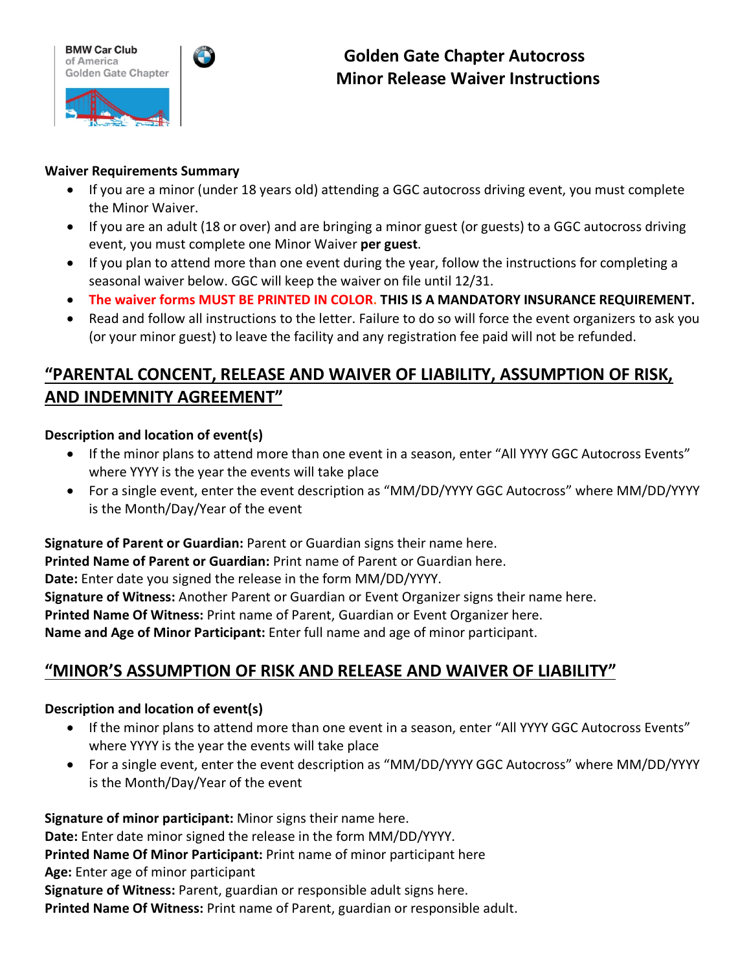



### **Waiver Requirements Summary**

- If you are a minor (under 18 years old) attending a GGC autocross driving event, you must complete the Minor Waiver.
- If you are an adult (18 or over) and are bringing a minor guest (or guests) to a GGC autocross driving event, you must complete one Minor Waiver **per guest**.
- If you plan to attend more than one event during the year, follow the instructions for completing a seasonal waiver below. GGC will keep the waiver on file until 12/31.
- **The waiver forms MUST BE PRINTED IN COLOR. THIS IS A MANDATORY INSURANCE REQUIREMENT.**
- Read and follow all instructions to the letter. Failure to do so will force the event organizers to ask you (or your minor guest) to leave the facility and any registration fee paid will not be refunded.

# **"PARENTAL CONCENT, RELEASE AND WAIVER OF LIABILITY, ASSUMPTION OF RISK, AND INDEMNITY AGREEMENT"**

## **Description and location of event(s)**

- If the minor plans to attend more than one event in a season, enter "All YYYY GGC Autocross Events" where YYYY is the year the events will take place
- For a single event, enter the event description as "MM/DD/YYYY GGC Autocross" where MM/DD/YYYY is the Month/Day/Year of the event

**Signature of Parent or Guardian:** Parent or Guardian signs their name here.

**Printed Name of Parent or Guardian:** Print name of Parent or Guardian here.

**Date:** Enter date you signed the release in the form MM/DD/YYYY.

**Signature of Witness:** Another Parent or Guardian or Event Organizer signs their name here.

**Printed Name Of Witness:** Print name of Parent, Guardian or Event Organizer here.

**Name and Age of Minor Participant:** Enter full name and age of minor participant.

## **"MINOR'S ASSUMPTION OF RISK AND RELEASE AND WAIVER OF LIABILITY"**

### **Description and location of event(s)**

- If the minor plans to attend more than one event in a season, enter "All YYYY GGC Autocross Events" where YYYY is the year the events will take place
- For a single event, enter the event description as "MM/DD/YYYY GGC Autocross" where MM/DD/YYYY is the Month/Day/Year of the event

**Signature of minor participant:** Minor signs their name here.

**Date:** Enter date minor signed the release in the form MM/DD/YYYY.

**Printed Name Of Minor Participant:** Print name of minor participant here

**Age:** Enter age of minor participant

**Signature of Witness:** Parent, guardian or responsible adult signs here.

**Printed Name Of Witness:** Print name of Parent, guardian or responsible adult.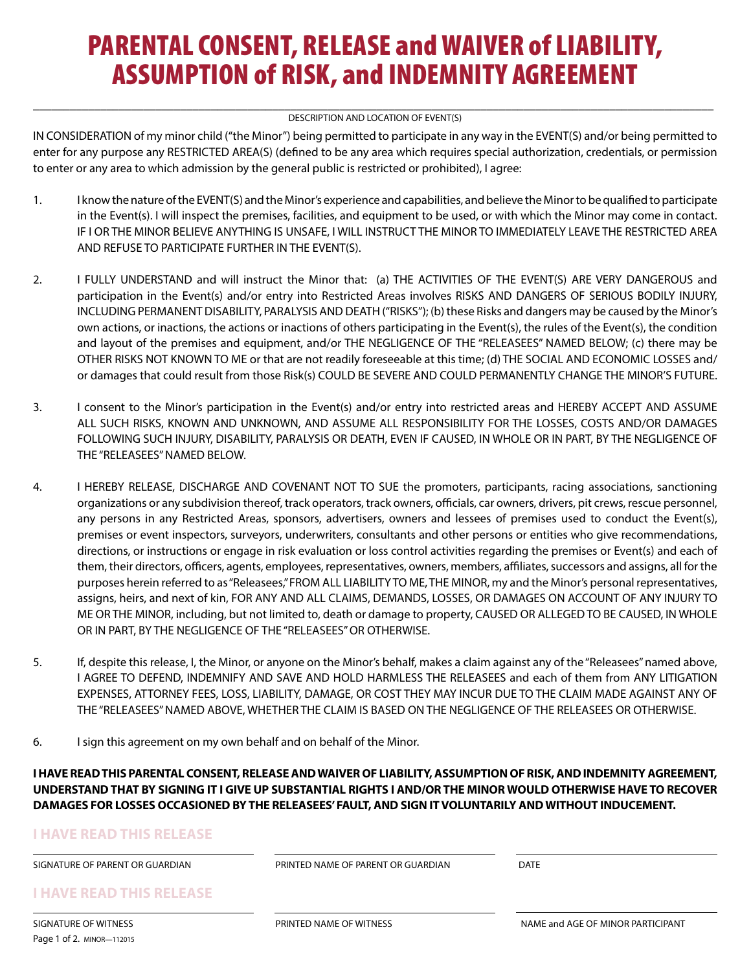# PARENTAL CONSENT, RELEASE and WAIVER of LIABILITY, ASSUMPTION of RISK, and INDEMNITY AGREEMENT

#### DESCRIPTION AND LOCATION OF EVENT(S)

IN CONSIDERATION of my minor child ("the Minor") being permitted to participate in any way in the EVENT(S) and/or being permitted to enter for any purpose any RESTRICTED AREA(S) (defined to be any area which requires special authorization, credentials, or permission to enter or any area to which admission by the general public is restricted or prohibited), I agree:

- 1. I know the nature of the EVENT(S) and the Minor's experience and capabilities, and believe the Minor to be qualified to participate in the Event(s). I will inspect the premises, facilities, and equipment to be used, or with which the Minor may come in contact. IF I OR THE MINOR BELIEVE ANYTHING IS UNSAFE, I WILL INSTRUCT THE MINOR TO IMMEDIATELY LEAVE THE RESTRICTED AREA AND REFUSE TO PARTICIPATE FURTHER IN THE EVENT(S).
- 2. I FULLY UNDERSTAND and will instruct the Minor that: (a) THE ACTIVITIES OF THE EVENT(S) ARE VERY DANGEROUS and participation in the Event(s) and/or entry into Restricted Areas involves RISKS AND DANGERS OF SERIOUS BODILY INJURY, INCLUDING PERMANENT DISABILITY, PARALYSIS AND DEATH ("RISKS"); (b) these Risks and dangers may be caused by the Minor's own actions, or inactions, the actions or inactions of others participating in the Event(s), the rules of the Event(s), the condition and layout of the premises and equipment, and/or THE NEGLIGENCE OF THE "RELEASEES" NAMED BELOW; (c) there may be OTHER RISKS NOT KNOWN TO ME or that are not readily foreseeable at this time; (d) THE SOCIAL AND ECONOMIC LOSSES and/ or damages that could result from those Risk(s) COULD BE SEVERE AND COULD PERMANENTLY CHANGE THE MINOR'S FUTURE.
- 3. I consent to the Minor's participation in the Event(s) and/or entry into restricted areas and HEREBY ACCEPT AND ASSUME ALL SUCH RISKS, KNOWN AND UNKNOWN, AND ASSUME ALL RESPONSIBILITY FOR THE LOSSES, COSTS AND/OR DAMAGES FOLLOWING SUCH INJURY, DISABILITY, PARALYSIS OR DEATH, EVEN IF CAUSED, IN WHOLE OR IN PART, BY THE NEGLIGENCE OF THE "RELEASEES" NAMED BELOW.
- 4. I HEREBY RELEASE, DISCHARGE AND COVENANT NOT TO SUE the promoters, participants, racing associations, sanctioning organizations or any subdivision thereof, track operators, track owners, officials, car owners, drivers, pit crews, rescue personnel, any persons in any Restricted Areas, sponsors, advertisers, owners and lessees of premises used to conduct the Event(s), premises or event inspectors, surveyors, underwriters, consultants and other persons or entities who give recommendations, directions, or instructions or engage in risk evaluation or loss control activities regarding the premises or Event(s) and each of them, their directors, officers, agents, employees, representatives, owners, members, affiliates, successors and assigns, all for the purposes herein referred to as "Releasees," FROM ALL LIABILITY TO ME, THE MINOR, my and the Minor's personal representatives, assigns, heirs, and next of kin, FOR ANY AND ALL CLAIMS, DEMANDS, LOSSES, OR DAMAGES ON ACCOUNT OF ANY INJURY TO ME OR THE MINOR, including, but not limited to, death or damage to property, CAUSED OR ALLEGED TO BE CAUSED, IN WHOLE OR IN PART, BY THE NEGLIGENCE OF THE "RELEASEES" OR OTHERWISE.
- 5. If, despite this release, I, the Minor, or anyone on the Minor's behalf, makes a claim against any of the "Releasees" named above, I AGREE TO DEFEND, INDEMNIFY AND SAVE AND HOLD HARMLESS THE RELEASEES and each of them from ANY LITIGATION EXPENSES, ATTORNEY FEES, LOSS, LIABILITY, DAMAGE, OR COST THEY MAY INCUR DUE TO THE CLAIM MADE AGAINST ANY OF THE "RELEASEES" NAMED ABOVE, WHETHER THE CLAIM IS BASED ON THE NEGLIGENCE OF THE RELEASEES OR OTHERWISE.
- 6. I sign this agreement on my own behalf and on behalf of the Minor.

**I HAVE READ THIS PARENTAL CONSENT, RELEASE AND WAIVER OF LIABILITY, ASSUMPTION OF RISK, AND INDEMNITY AGREEMENT, UNDERSTAND THAT BY SIGNING IT I GIVE UP SUBSTANTIAL RIGHTS I AND/OR THE MINOR WOULD OTHERWISE HAVE TO RECOVER DAMAGES FOR LOSSES OCCASIONED BY THE RELEASEES' FAULT, AND SIGN IT VOLUNTARILY AND WITHOUT INDUCEMENT.**

#### **I HAVE READ THIS RELEASE**

SIGNATURE OF PARENT OR GUARDIAN PRINTED NAME OF PARENT OR GUARDIAN DATE

**I HAVE READ THIS RELEASE**

Page 1 of 2. MINOR—112015

SIGNATURE OF WITNESS **Example 20 THE OF SIGNATURE OF WITNESS** AND RESIGNATURE OF WINOR PARTICIPANT